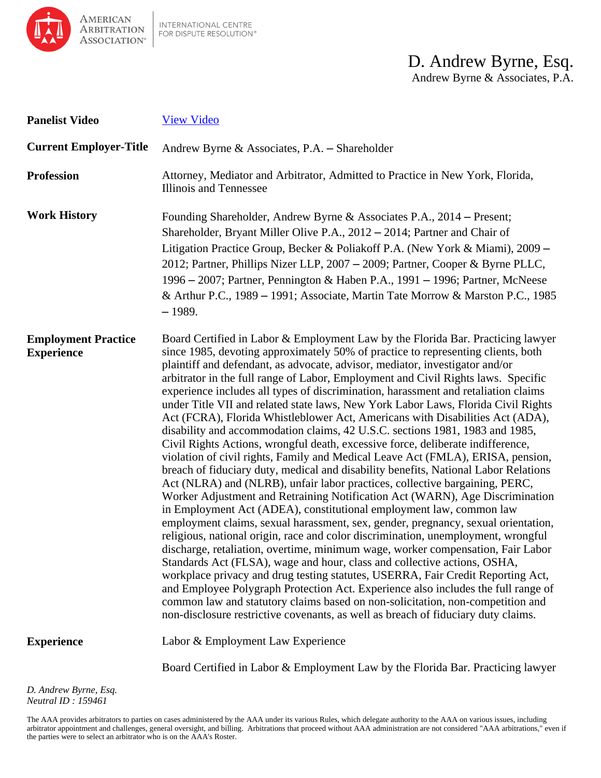

| <b>Panelist Video</b>                           | <b>View Video</b>                                                                                                                                                                                                                                                                                                                                                                                                                                                                                                                                                                                                                                                                                                                                                                                                                                                                                                                                                                                                                                                                                                                                                                                                                                                                                                                                                                                                                                                                                                                                                                                                                                                                                                                                                                                                                                                               |  |
|-------------------------------------------------|---------------------------------------------------------------------------------------------------------------------------------------------------------------------------------------------------------------------------------------------------------------------------------------------------------------------------------------------------------------------------------------------------------------------------------------------------------------------------------------------------------------------------------------------------------------------------------------------------------------------------------------------------------------------------------------------------------------------------------------------------------------------------------------------------------------------------------------------------------------------------------------------------------------------------------------------------------------------------------------------------------------------------------------------------------------------------------------------------------------------------------------------------------------------------------------------------------------------------------------------------------------------------------------------------------------------------------------------------------------------------------------------------------------------------------------------------------------------------------------------------------------------------------------------------------------------------------------------------------------------------------------------------------------------------------------------------------------------------------------------------------------------------------------------------------------------------------------------------------------------------------|--|
| <b>Current Employer-Title</b>                   | Andrew Byrne & Associates, P.A. - Shareholder                                                                                                                                                                                                                                                                                                                                                                                                                                                                                                                                                                                                                                                                                                                                                                                                                                                                                                                                                                                                                                                                                                                                                                                                                                                                                                                                                                                                                                                                                                                                                                                                                                                                                                                                                                                                                                   |  |
| <b>Profession</b>                               | Attorney, Mediator and Arbitrator, Admitted to Practice in New York, Florida,<br>Illinois and Tennessee                                                                                                                                                                                                                                                                                                                                                                                                                                                                                                                                                                                                                                                                                                                                                                                                                                                                                                                                                                                                                                                                                                                                                                                                                                                                                                                                                                                                                                                                                                                                                                                                                                                                                                                                                                         |  |
| <b>Work History</b>                             | Founding Shareholder, Andrew Byrne & Associates P.A., 2014 – Present;<br>Shareholder, Bryant Miller Olive P.A., 2012 – 2014; Partner and Chair of<br>Litigation Practice Group, Becker & Poliakoff P.A. (New York & Miami), 2009 –<br>2012; Partner, Phillips Nizer LLP, 2007 - 2009; Partner, Cooper & Byrne PLLC,<br>1996 – 2007; Partner, Pennington & Haben P.A., 1991 – 1996; Partner, McNeese<br>& Arthur P.C., 1989 - 1991; Associate, Martin Tate Morrow & Marston P.C., 1985<br>$-1989.$                                                                                                                                                                                                                                                                                                                                                                                                                                                                                                                                                                                                                                                                                                                                                                                                                                                                                                                                                                                                                                                                                                                                                                                                                                                                                                                                                                               |  |
| <b>Employment Practice</b><br><b>Experience</b> | Board Certified in Labor & Employment Law by the Florida Bar. Practicing lawyer<br>since 1985, devoting approximately 50% of practice to representing clients, both<br>plaintiff and defendant, as advocate, advisor, mediator, investigator and/or<br>arbitrator in the full range of Labor, Employment and Civil Rights laws. Specific<br>experience includes all types of discrimination, harassment and retaliation claims<br>under Title VII and related state laws, New York Labor Laws, Florida Civil Rights<br>Act (FCRA), Florida Whistleblower Act, Americans with Disabilities Act (ADA),<br>disability and accommodation claims, 42 U.S.C. sections 1981, 1983 and 1985,<br>Civil Rights Actions, wrongful death, excessive force, deliberate indifference,<br>violation of civil rights, Family and Medical Leave Act (FMLA), ERISA, pension,<br>breach of fiduciary duty, medical and disability benefits, National Labor Relations<br>Act (NLRA) and (NLRB), unfair labor practices, collective bargaining, PERC,<br>Worker Adjustment and Retraining Notification Act (WARN), Age Discrimination<br>in Employment Act (ADEA), constitutional employment law, common law<br>employment claims, sexual harassment, sex, gender, pregnancy, sexual orientation,<br>religious, national origin, race and color discrimination, unemployment, wrongful<br>discharge, retaliation, overtime, minimum wage, worker compensation, Fair Labor<br>Standards Act (FLSA), wage and hour, class and collective actions, OSHA,<br>workplace privacy and drug testing statutes, USERRA, Fair Credit Reporting Act,<br>and Employee Polygraph Protection Act. Experience also includes the full range of<br>common law and statutory claims based on non-solicitation, non-competition and<br>non-disclosure restrictive covenants, as well as breach of fiduciary duty claims. |  |
| <b>Experience</b>                               | Labor & Employment Law Experience                                                                                                                                                                                                                                                                                                                                                                                                                                                                                                                                                                                                                                                                                                                                                                                                                                                                                                                                                                                                                                                                                                                                                                                                                                                                                                                                                                                                                                                                                                                                                                                                                                                                                                                                                                                                                                               |  |
|                                                 | Board Certified in Labor & Employment Law by the Florida Bar. Practicing lawyer                                                                                                                                                                                                                                                                                                                                                                                                                                                                                                                                                                                                                                                                                                                                                                                                                                                                                                                                                                                                                                                                                                                                                                                                                                                                                                                                                                                                                                                                                                                                                                                                                                                                                                                                                                                                 |  |

*D. Andrew Byrne, Esq. Neutral ID : 159461*

The AAA provides arbitrators to parties on cases administered by the AAA under its various Rules, which delegate authority to the AAA on various issues, including arbitrator appointment and challenges, general oversight, and billing. Arbitrations that proceed without AAA administration are not considered "AAA arbitrations," even if the parties were to select an arbitrator who is on the AAA's Roster.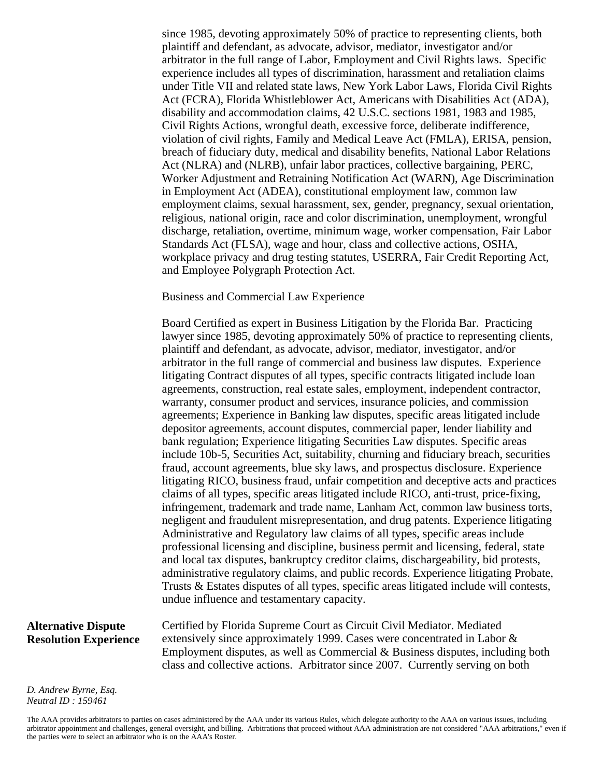since 1985, devoting approximately 50% of practice to representing clients, both plaintiff and defendant, as advocate, advisor, mediator, investigator and/or arbitrator in the full range of Labor, Employment and Civil Rights laws. Specific experience includes all types of discrimination, harassment and retaliation claims under Title VII and related state laws, New York Labor Laws, Florida Civil Rights Act (FCRA), Florida Whistleblower Act, Americans with Disabilities Act (ADA), disability and accommodation claims, 42 U.S.C. sections 1981, 1983 and 1985, Civil Rights Actions, wrongful death, excessive force, deliberate indifference, violation of civil rights, Family and Medical Leave Act (FMLA), ERISA, pension, breach of fiduciary duty, medical and disability benefits, National Labor Relations Act (NLRA) and (NLRB), unfair labor practices, collective bargaining, PERC, Worker Adjustment and Retraining Notification Act (WARN), Age Discrimination in Employment Act (ADEA), constitutional employment law, common law employment claims, sexual harassment, sex, gender, pregnancy, sexual orientation, religious, national origin, race and color discrimination, unemployment, wrongful discharge, retaliation, overtime, minimum wage, worker compensation, Fair Labor Standards Act (FLSA), wage and hour, class and collective actions, OSHA, workplace privacy and drug testing statutes, USERRA, Fair Credit Reporting Act, and Employee Polygraph Protection Act.

Business and Commercial Law Experience

Board Certified as expert in Business Litigation by the Florida Bar. Practicing lawyer since 1985, devoting approximately 50% of practice to representing clients, plaintiff and defendant, as advocate, advisor, mediator, investigator, and/or arbitrator in the full range of commercial and business law disputes. Experience litigating Contract disputes of all types, specific contracts litigated include loan agreements, construction, real estate sales, employment, independent contractor, warranty, consumer product and services, insurance policies, and commission agreements; Experience in Banking law disputes, specific areas litigated include depositor agreements, account disputes, commercial paper, lender liability and bank regulation; Experience litigating Securities Law disputes. Specific areas include 10b-5, Securities Act, suitability, churning and fiduciary breach, securities fraud, account agreements, blue sky laws, and prospectus disclosure. Experience litigating RICO, business fraud, unfair competition and deceptive acts and practices claims of all types, specific areas litigated include RICO, anti-trust, price-fixing, infringement, trademark and trade name, Lanham Act, common law business torts, negligent and fraudulent misrepresentation, and drug patents. Experience litigating Administrative and Regulatory law claims of all types, specific areas include professional licensing and discipline, business permit and licensing, federal, state and local tax disputes, bankruptcy creditor claims, dischargeability, bid protests, administrative regulatory claims, and public records. Experience litigating Probate, Trusts & Estates disputes of all types, specific areas litigated include will contests, undue influence and testamentary capacity.

## **Alternative Dispute Resolution Experience**

Certified by Florida Supreme Court as Circuit Civil Mediator. Mediated extensively since approximately 1999. Cases were concentrated in Labor & Employment disputes, as well as Commercial & Business disputes, including both class and collective actions. Arbitrator since 2007. Currently serving on both

*D. Andrew Byrne, Esq. Neutral ID : 159461*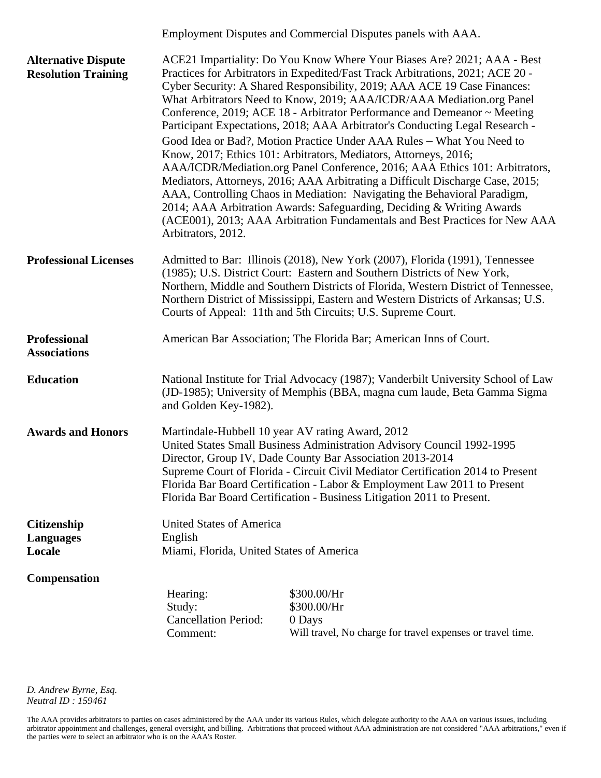|                                                          |                                                                                                                                                                                                                                                                                                                                                                                                                                                                                                                                                                                                                                                                                                                                                                                                                                                                                                                                                                                                                                                   | Employment Disputes and Commercial Disputes panels with AAA.                                       |  |
|----------------------------------------------------------|---------------------------------------------------------------------------------------------------------------------------------------------------------------------------------------------------------------------------------------------------------------------------------------------------------------------------------------------------------------------------------------------------------------------------------------------------------------------------------------------------------------------------------------------------------------------------------------------------------------------------------------------------------------------------------------------------------------------------------------------------------------------------------------------------------------------------------------------------------------------------------------------------------------------------------------------------------------------------------------------------------------------------------------------------|----------------------------------------------------------------------------------------------------|--|
| <b>Alternative Dispute</b><br><b>Resolution Training</b> | ACE21 Impartiality: Do You Know Where Your Biases Are? 2021; AAA - Best<br>Practices for Arbitrators in Expedited/Fast Track Arbitrations, 2021; ACE 20 -<br>Cyber Security: A Shared Responsibility, 2019; AAA ACE 19 Case Finances:<br>What Arbitrators Need to Know, 2019; AAA/ICDR/AAA Mediation.org Panel<br>Conference, 2019; ACE 18 - Arbitrator Performance and Demeanor ~ Meeting<br>Participant Expectations, 2018; AAA Arbitrator's Conducting Legal Research -<br>Good Idea or Bad?, Motion Practice Under AAA Rules - What You Need to<br>Know, 2017; Ethics 101: Arbitrators, Mediators, Attorneys, 2016;<br>AAA/ICDR/Mediation.org Panel Conference, 2016; AAA Ethics 101: Arbitrators,<br>Mediators, Attorneys, 2016; AAA Arbitrating a Difficult Discharge Case, 2015;<br>AAA, Controlling Chaos in Mediation: Navigating the Behavioral Paradigm,<br>2014; AAA Arbitration Awards: Safeguarding, Deciding & Writing Awards<br>(ACE001), 2013; AAA Arbitration Fundamentals and Best Practices for New AAA<br>Arbitrators, 2012. |                                                                                                    |  |
| <b>Professional Licenses</b>                             | Admitted to Bar: Illinois (2018), New York (2007), Florida (1991), Tennessee<br>(1985); U.S. District Court: Eastern and Southern Districts of New York,<br>Northern, Middle and Southern Districts of Florida, Western District of Tennessee,<br>Northern District of Mississippi, Eastern and Western Districts of Arkansas; U.S.<br>Courts of Appeal: 11th and 5th Circuits; U.S. Supreme Court.                                                                                                                                                                                                                                                                                                                                                                                                                                                                                                                                                                                                                                               |                                                                                                    |  |
| <b>Professional</b><br><b>Associations</b>               | American Bar Association; The Florida Bar; American Inns of Court.                                                                                                                                                                                                                                                                                                                                                                                                                                                                                                                                                                                                                                                                                                                                                                                                                                                                                                                                                                                |                                                                                                    |  |
| <b>Education</b>                                         | National Institute for Trial Advocacy (1987); Vanderbilt University School of Law<br>(JD-1985); University of Memphis (BBA, magna cum laude, Beta Gamma Sigma<br>and Golden Key-1982).                                                                                                                                                                                                                                                                                                                                                                                                                                                                                                                                                                                                                                                                                                                                                                                                                                                            |                                                                                                    |  |
| <b>Awards and Honors</b>                                 | Martindale-Hubbell 10 year AV rating Award, 2012<br>United States Small Business Administration Advisory Council 1992-1995<br>Director, Group IV, Dade County Bar Association 2013-2014<br>Supreme Court of Florida - Circuit Civil Mediator Certification 2014 to Present<br>Florida Bar Board Certification - Labor & Employment Law 2011 to Present<br>Florida Bar Board Certification - Business Litigation 2011 to Present.                                                                                                                                                                                                                                                                                                                                                                                                                                                                                                                                                                                                                  |                                                                                                    |  |
| <b>Citizenship</b><br><b>Languages</b><br>Locale         | <b>United States of America</b><br>English<br>Miami, Florida, United States of America                                                                                                                                                                                                                                                                                                                                                                                                                                                                                                                                                                                                                                                                                                                                                                                                                                                                                                                                                            |                                                                                                    |  |
| <b>Compensation</b>                                      | Hearing:<br>Study:<br><b>Cancellation Period:</b><br>Comment:                                                                                                                                                                                                                                                                                                                                                                                                                                                                                                                                                                                                                                                                                                                                                                                                                                                                                                                                                                                     | \$300.00/Hr<br>\$300.00/Hr<br>0 Days<br>Will travel, No charge for travel expenses or travel time. |  |

*D. Andrew Byrne, Esq. Neutral ID : 159461*

The AAA provides arbitrators to parties on cases administered by the AAA under its various Rules, which delegate authority to the AAA on various issues, including arbitrator appointment and challenges, general oversight, and billing. Arbitrations that proceed without AAA administration are not considered "AAA arbitrations," even if the parties were to select an arbitrator who is on the AAA's Roster.